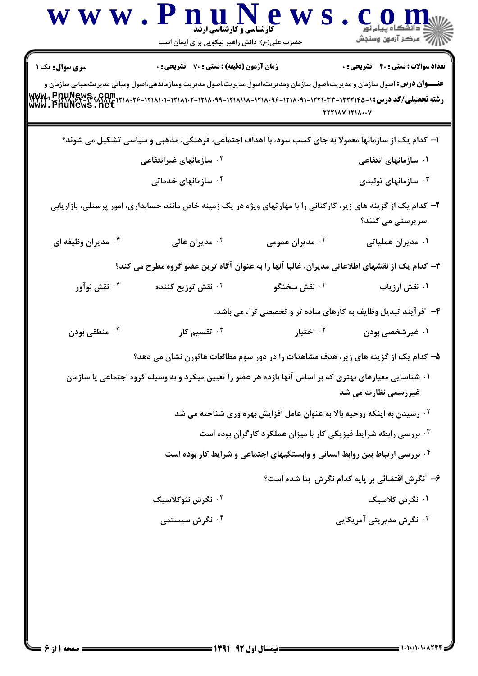|                                     | www.PnuNews<br><b>کارشناسی و کارشناسی ارشد</b><br>حضرت علی(ع): دانش راهبر نیکویی برای ایمان است                                                                                                                                                                                |                                                                                     | )<br>\  / <sup>77</sup> مرکز آزمون وسنجش                     |
|-------------------------------------|--------------------------------------------------------------------------------------------------------------------------------------------------------------------------------------------------------------------------------------------------------------------------------|-------------------------------------------------------------------------------------|--------------------------------------------------------------|
| سری سوال: یک ۱<br>WWW1.PRUNews.GOM. | <b>زمان آزمون (دقیقه) : تستی : 70 گشریحی : 0</b><br><b>عنـــوان درس:</b> اصول سازمان و مدیریت،اصول سازمان ومدیریت،اصول مدیریت،اصول مدیریت وسازماندهی،اصول ومبانی مدیریت،مبانی سازمان و<br>رشته تحصیلی/کد درس: ۱-۲۲۲۱۴۵-۱۲۲۱۰۳۳-۱۲۱۸۰۹۱-۱۲۱۸۰۹۶-۱۲۱۸۱۸-۱۲۱۸۰۹۹-۱۲۱۸۱۰۲-۱۲۱۸۱۰۱- |                                                                                     | <b>تعداد سوالات : تستي : 40 - تشريحي : 0</b><br>YYY1AY Y11AY |
|                                     | ا– کدام یک از سازمانها معمولا به جای کسب سود، با اهداف اجتماعی، فرهنگی، مذهبی و سیاسی تشکیل می شوند؟                                                                                                                                                                           |                                                                                     |                                                              |
|                                     | <sup>۲</sup> ۰ سازمانهای غیرانتفاعی                                                                                                                                                                                                                                            |                                                                                     | ۰۱ سازمانهای انتفاعی                                         |
|                                     | ۰۴ سازمانهای خدماتی                                                                                                                                                                                                                                                            |                                                                                     | ۰ <sup>۳</sup> سازمانهای تولیدی $\cdot$                      |
|                                     | ۲- کدام یک از گزینه های زیر، کارکنانی را با مهارتهای ویژه در یک زمینه خاص مانند حسابداری، امور پرسنلی، بازاریابی                                                                                                                                                               |                                                                                     | سرپرستی می کنند؟                                             |
| ۰۴ مدیران وظیفه ای                  | مديران عالى $\cdot^{\intercal}$                                                                                                                                                                                                                                                | ۰ <sup>۲</sup> مدیران عمومی                                                         | ۰۱ مدیران عملیاتی                                            |
|                                     | ۳- کدام یک از نقشهای اطلاعاتی مدیران، غالبا آنها را به عنوان آگاه ترین عضو گروه مطرح می کند؟                                                                                                                                                                                   |                                                                                     |                                                              |
| ۰۴ نقش نوآور                        | نقش توزيع كننده $\cdot^{\mathtt{w}}$                                                                                                                                                                                                                                           | ۰ <sup>۲</sup> نقش سخنگو                                                            | ۰۱ نقش ارزیاب                                                |
|                                     |                                                                                                                                                                                                                                                                                | ۴- ″فرآیند تبدیل وظایف به کارهای ساده تر و تخصصی تر″، می باشد.                      |                                                              |
| ۰۴ منطقی بودن                       | تقسیم کار $\cdot$                                                                                                                                                                                                                                                              | ۰ <sup>۲</sup> اختیار                                                               | ۰۱ غیرشخصی بودن                                              |
|                                     | ۵– کدام یک از گزینه های زیر، هدف مشاهدات را در دور سوم مطالعات هاثورن نشان می دهد؟                                                                                                                                                                                             |                                                                                     |                                                              |
|                                     | ۰۱ شناسایی معیارهای بهتری که بر اساس آنها بازده هر عضو را تعیین میکرد و به وسیله گروه اجتماعی یا سازمان                                                                                                                                                                        |                                                                                     | غیررسمی نظارت می شد                                          |
|                                     |                                                                                                                                                                                                                                                                                | <sup>۲</sup> ۰ رسیدن به اینکه روحیه بالا به عنوان عامل افزایش بهره وری شناخته می شد |                                                              |
|                                     |                                                                                                                                                                                                                                                                                | ۰ <sup>۳</sup> بررسی رابطه شرایط فیزیکی کار با میزان عملکرد کارگران بوده است        |                                                              |
|                                     |                                                                                                                                                                                                                                                                                | ۰۴ بررسی ارتباط بین روابط انسانی و وابستگیهای اجتماعی و شرایط کار بوده است          |                                                              |
|                                     |                                                                                                                                                                                                                                                                                |                                                                                     | ۶– "نگرش اقتضائی بر پایه کدام نگرش بنا شده است؟              |
|                                     | <sup>۲ .</sup> نگرش نئوکلاسیک                                                                                                                                                                                                                                                  |                                                                                     | ۰۱ نگرش کلاسیک                                               |
|                                     | ۰ <sup>۴</sup> نگرش سیستمی                                                                                                                                                                                                                                                     |                                                                                     | ۰ <sup>۳</sup> نگرش مدیریتی آمریکایی                         |
|                                     |                                                                                                                                                                                                                                                                                |                                                                                     |                                                              |
|                                     |                                                                                                                                                                                                                                                                                |                                                                                     |                                                              |
|                                     |                                                                                                                                                                                                                                                                                |                                                                                     |                                                              |
|                                     |                                                                                                                                                                                                                                                                                |                                                                                     |                                                              |
|                                     |                                                                                                                                                                                                                                                                                |                                                                                     |                                                              |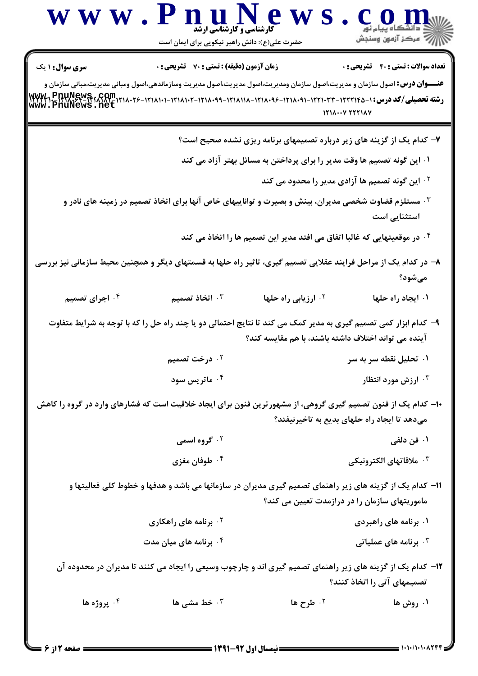| <b>سری سوال : ۱ یک</b><br><b>عنـــوان درس:</b> اصول سازمان و مدیریت،اصول سازمان ومدیریت،اصول مدیریت،اصول مدیریت وسازماندهی،اصول ومبانی مدیریت،مبانی سازمان و<br>رشته تحصیلی/کد درس:۱-۱۲۲۲۱۴۵-۱۲۲۱۰-۱۲۱۸۰۹۱-۱۲۱۸۰۹۶-۱۲۱۸۱۱۸-۱۲۱۸۰۹۶-۱۲۱۸۱۱۸-۱۲۳۸۰۹۶-۱۲۳۷۳۹۰-۱۲۲۲۱۲۵۰۰۲۶<br>www.pnuNews.net<br><sup>۰۳</sup> مستلزم قضاوت شخصی مدیران، بینش و بصیرت و تواناییهای خاص آنها برای اتخاذ تصمیم در زمینه های نادر و<br>۸– در کدام یک از مراحل فرایند عقلایی تصمیم گیری، تاثیر راه حلها به قسمتهای دیگر و همچنین محیط سازمانی نیز بررسی<br>۰۳ اتخاذ تصمیم<br>۰۴ اجرای تصمیم<br>۹- کدام ابزار کمی تصمیم گیری به مدیر کمک می کند تا نتایج احتمالی دو یا چند راه حل را که با توجه به شرایط متفاوت<br>۰ <sup>۲</sup> درخت تصمیم<br>۰۴ ماتریس سود<br>۱۰– کدام یک از فنون تصمیم گیری گروهی، از مشهورترین فنون برای ایجاد خلاقیت است که فشارهای وارد در گروه را کاهش<br>۰ <sup>۲</sup> گروه اسمی<br>۰ <sup>۴</sup> طوفان مغزی<br>1۱– کدام یک از گزینه های زیر راهنمای تصمیم گیری مدیران در سازمانها می باشد و هدفها و خطوط کلی فعالیتها و<br>۰ <sup>۲</sup> برنامه های راهکاری<br>برنامه های میان مدت $\cdot$ ٔ | زمان آزمون (دقیقه) : تستی : 70 قشریحی : 0 | 1218007 TTT1AV<br>۰۱ این گونه تصمیم ها وقت مدیر را برای پرداختن به مسائل بهتر آزاد می کند<br><sup>7.</sup> ارزیابی راه حلها | <b>تعداد سوالات : تستي : 40 ٪ تشريحي : 0</b><br>۷- کدام یک از گزینه های زیر درباره تصمیمهای برنامه ریزی نشده صحیح است؟<br><sup>۲</sup> ۰ این گونه تصمیم ها آزادی مدیر را محدود می کند<br>استثنایی است<br>۰۴ در موقعیتهایی که غالبا اتفاق می افتد مدیر این تصمیم ها را اتخاذ می کند *<br>مىشود؟<br>۰۱ ایجاد راه حلها |
|--------------------------------------------------------------------------------------------------------------------------------------------------------------------------------------------------------------------------------------------------------------------------------------------------------------------------------------------------------------------------------------------------------------------------------------------------------------------------------------------------------------------------------------------------------------------------------------------------------------------------------------------------------------------------------------------------------------------------------------------------------------------------------------------------------------------------------------------------------------------------------------------------------------------------------------------------------------------------------------------------------------------------------------------------------------------------------------------------|-------------------------------------------|-----------------------------------------------------------------------------------------------------------------------------|---------------------------------------------------------------------------------------------------------------------------------------------------------------------------------------------------------------------------------------------------------------------------------------------------------------------|
|                                                                                                                                                                                                                                                                                                                                                                                                                                                                                                                                                                                                                                                                                                                                                                                                                                                                                                                                                                                                                                                                                                  |                                           |                                                                                                                             |                                                                                                                                                                                                                                                                                                                     |
|                                                                                                                                                                                                                                                                                                                                                                                                                                                                                                                                                                                                                                                                                                                                                                                                                                                                                                                                                                                                                                                                                                  |                                           |                                                                                                                             |                                                                                                                                                                                                                                                                                                                     |
|                                                                                                                                                                                                                                                                                                                                                                                                                                                                                                                                                                                                                                                                                                                                                                                                                                                                                                                                                                                                                                                                                                  |                                           |                                                                                                                             |                                                                                                                                                                                                                                                                                                                     |
|                                                                                                                                                                                                                                                                                                                                                                                                                                                                                                                                                                                                                                                                                                                                                                                                                                                                                                                                                                                                                                                                                                  |                                           |                                                                                                                             |                                                                                                                                                                                                                                                                                                                     |
|                                                                                                                                                                                                                                                                                                                                                                                                                                                                                                                                                                                                                                                                                                                                                                                                                                                                                                                                                                                                                                                                                                  |                                           |                                                                                                                             |                                                                                                                                                                                                                                                                                                                     |
|                                                                                                                                                                                                                                                                                                                                                                                                                                                                                                                                                                                                                                                                                                                                                                                                                                                                                                                                                                                                                                                                                                  |                                           |                                                                                                                             |                                                                                                                                                                                                                                                                                                                     |
|                                                                                                                                                                                                                                                                                                                                                                                                                                                                                                                                                                                                                                                                                                                                                                                                                                                                                                                                                                                                                                                                                                  |                                           |                                                                                                                             |                                                                                                                                                                                                                                                                                                                     |
|                                                                                                                                                                                                                                                                                                                                                                                                                                                                                                                                                                                                                                                                                                                                                                                                                                                                                                                                                                                                                                                                                                  |                                           |                                                                                                                             |                                                                                                                                                                                                                                                                                                                     |
|                                                                                                                                                                                                                                                                                                                                                                                                                                                                                                                                                                                                                                                                                                                                                                                                                                                                                                                                                                                                                                                                                                  |                                           |                                                                                                                             |                                                                                                                                                                                                                                                                                                                     |
|                                                                                                                                                                                                                                                                                                                                                                                                                                                                                                                                                                                                                                                                                                                                                                                                                                                                                                                                                                                                                                                                                                  |                                           | آینده می تواند اختلاف داشته باشند، با هم مقایسه کند؟                                                                        |                                                                                                                                                                                                                                                                                                                     |
|                                                                                                                                                                                                                                                                                                                                                                                                                                                                                                                                                                                                                                                                                                                                                                                                                                                                                                                                                                                                                                                                                                  |                                           |                                                                                                                             | ۰۱ تحلیل نقطه سر به سر                                                                                                                                                                                                                                                                                              |
|                                                                                                                                                                                                                                                                                                                                                                                                                                                                                                                                                                                                                                                                                                                                                                                                                                                                                                                                                                                                                                                                                                  |                                           |                                                                                                                             | ارزش مورد انتظار '                                                                                                                                                                                                                                                                                                  |
|                                                                                                                                                                                                                                                                                                                                                                                                                                                                                                                                                                                                                                                                                                                                                                                                                                                                                                                                                                                                                                                                                                  |                                           |                                                                                                                             | میدهد تا ایجاد راه حلهای بدیع به تاخیرنیفتد؟                                                                                                                                                                                                                                                                        |
|                                                                                                                                                                                                                                                                                                                                                                                                                                                                                                                                                                                                                                                                                                                                                                                                                                                                                                                                                                                                                                                                                                  |                                           |                                                                                                                             | ۰۱ فن دلفی                                                                                                                                                                                                                                                                                                          |
|                                                                                                                                                                                                                                                                                                                                                                                                                                                                                                                                                                                                                                                                                                                                                                                                                                                                                                                                                                                                                                                                                                  |                                           |                                                                                                                             | ۰ <sup>۳</sup> ملاقاتهای الکترونیکی                                                                                                                                                                                                                                                                                 |
|                                                                                                                                                                                                                                                                                                                                                                                                                                                                                                                                                                                                                                                                                                                                                                                                                                                                                                                                                                                                                                                                                                  |                                           | ماموریتهای سازمان را در درازمدت تعیین می کند؟                                                                               |                                                                                                                                                                                                                                                                                                                     |
|                                                                                                                                                                                                                                                                                                                                                                                                                                                                                                                                                                                                                                                                                                                                                                                                                                                                                                                                                                                                                                                                                                  |                                           |                                                                                                                             | ۰۱ برنامه های راهبردی                                                                                                                                                                                                                                                                                               |
|                                                                                                                                                                                                                                                                                                                                                                                                                                                                                                                                                                                                                                                                                                                                                                                                                                                                                                                                                                                                                                                                                                  |                                           |                                                                                                                             | برنامه های عملیاتی $\cdot^{\mathsf{\texttt{w}}}$                                                                                                                                                                                                                                                                    |
| ۱۲– کدام یک از گزینه های زیر راهنمای تصمیم گیری اند و چارچوب وسیعی را ایجاد می کنند تا مدیران در محدوده آن                                                                                                                                                                                                                                                                                                                                                                                                                                                                                                                                                                                                                                                                                                                                                                                                                                                                                                                                                                                       |                                           |                                                                                                                             | تصمیمهای آتی را اتخاذ کنند؟                                                                                                                                                                                                                                                                                         |
| ۰۴ پروژه ها<br>۰۳ خط مشی ها                                                                                                                                                                                                                                                                                                                                                                                                                                                                                                                                                                                                                                                                                                                                                                                                                                                                                                                                                                                                                                                                      |                                           |                                                                                                                             |                                                                                                                                                                                                                                                                                                                     |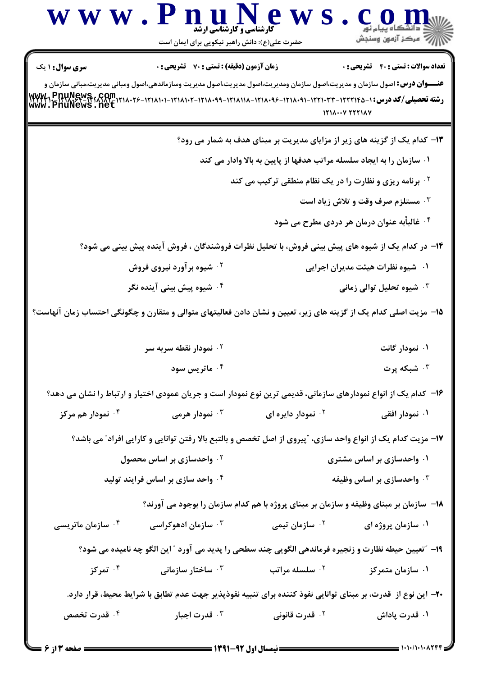|                                                                | www.PnuNews<br><b>گارشناسی و گارشناسی ارشد</b><br>حضرت علی(ع): دانش راهبر نیکویی برای ایمان است                                                                                          |                                                                                            | ڪ دانشڪاه پيام نور<br>∭هرڪز آزمون وسنڊش                                                |
|----------------------------------------------------------------|------------------------------------------------------------------------------------------------------------------------------------------------------------------------------------------|--------------------------------------------------------------------------------------------|----------------------------------------------------------------------------------------|
| <b>سری سوال :</b> ۱ یک<br>YYYY1PDUNEWS1GOM<br>www.PnuNews.net  | <b>زمان آزمون (دقیقه) : تستی : 70 ٪ تشریحی : 0</b><br><b>عنـــوان درس:</b> اصول سازمان و مدیریت،اصول سازمان ومدیریت،اصول مدیریت،اصول مدیریت وسازماندهی،اصول ومبانی مدیریت،مبانی سازمان و | رشته تحصیلی/کد درس: ۱-۲۲۲۱۴۵-۱۲۲۲۰۳۳-۱۲۱۸۰۹۱-۱۲۱۸۰۹۶-۱۲۱۸۱۸-۱۲۱۸۰۹۹-۱۲۱۸۱۰۲-۱۲۱۸۱۰۲-۱۲۱۸۱۰ | <b>تعداد سوالات : تستی : 40 قشریحی : 0</b><br>$151 \wedge \cdots \vee 551 \wedge \vee$ |
|                                                                |                                                                                                                                                                                          | ۱۳- کدام یک از گزینه های زیر از مزایای مدیریت بر مبنای هدف به شمار می رود؟                 |                                                                                        |
|                                                                |                                                                                                                                                                                          | ۰۱ سازمان را به ایجاد سلسله مراتب هدفها از پایین به بالا وادار می کند                      |                                                                                        |
| <b>10 برنامه ریزی و نظارت را در یک نظام منطقی ترکیب می کند</b> |                                                                                                                                                                                          |                                                                                            |                                                                                        |
| <b>۰۳ مستلزم صرف وقت و تلاش زیاد است</b>                       |                                                                                                                                                                                          |                                                                                            |                                                                                        |
| ۰۴ غالباًبه عنوان درمان هر دردی مطرح می شود                    |                                                                                                                                                                                          |                                                                                            |                                                                                        |
|                                                                | ۱۴– در کدام یک از شیوه های پیش بینی فروش، با تحلیل نظرات فروشندگان ، فروش آینده پیش بینی می شود؟                                                                                         |                                                                                            |                                                                                        |
|                                                                | <b>گ شیوه برآورد نیروی فروش</b>                                                                                                                                                          |                                                                                            | ۰۱ شیوه نظرات هیئت مدیران اجرایی                                                       |
|                                                                | <sup>۴.</sup> شیوه پیش بینی آینده نگر                                                                                                                                                    |                                                                                            | ۰ <sup>۳</sup> شیوه تحلیل توالی زمانی                                                  |
|                                                                | ۱۵− مزیت اصلی کدام یک از گزینه های زیر، تعیین و نشان دادن فعالیتهای متوالی و متقارن و چگونگی احتساب زمان آنهاست؟                                                                         |                                                                                            |                                                                                        |
|                                                                | ۰ <sup>۲</sup> نمودار نقطه سربه سر                                                                                                                                                       |                                                                                            | ۰۱ نمودار گانت                                                                         |
|                                                                | ۰ <sup>۴</sup> ماتریس سود                                                                                                                                                                |                                                                                            | شبکه پرت $\cdot$                                                                       |
|                                                                | ۱۶– کدام یک از انواع نمودارهای سازمانی، قدیمی ترین نوع نمودار است و جریان عمودی اختیار و ارتباط را نشان می دهد؟                                                                          |                                                                                            |                                                                                        |
| ۰ <sup>۴</sup> نمودار هم مرکز                                  | ۰ <sup>۳</sup> نمودار هرمی                                                                                                                                                               | ۰ <sup>۲</sup> نمودار دایره ای                                                             | ۰۱ نمودار افقی                                                                         |
|                                                                | ۱۷- مزیت کدام یک از انواع واحد سازی، ″پیروی از اصل تخصص و بالتبع بالا رفتن توانایی و کارایی افراد″ می باشد؟                                                                              |                                                                                            |                                                                                        |
|                                                                | $^\circ$ ۰ واحدسازی بر اساس محصول $^\circ$                                                                                                                                               |                                                                                            | ۰۱ واحدسازی بر اساس مشتری                                                              |
|                                                                | ۰۴ واحد سازی بر اساس فرایند تولید                                                                                                                                                        |                                                                                            | ۰ <sup>۳</sup> واحدسازی بر اساس وظیفه                                                  |
|                                                                |                                                                                                                                                                                          | 18- سازمان بر مبنای وظیفه و سازمان بر مبنای پروژه با هم کدام سازمان را بوجود می آورند؟     |                                                                                        |
| ۰ <sup>۴</sup> سازمان ماتریسی                                  | ۰ <sup>۳</sup> سازمان ادهوکراسی                                                                                                                                                          | ۰ <sup>۲</sup> سازمان تیمی                                                                 | ۰۱ سازمان پروژه ای                                                                     |
|                                                                | ۱۹- "تعيين حيطه نظارت و زنجيره فرماندهي الگويي چند سطحي را پديد مي آورد " اين الگو چه ناميده مي شود؟                                                                                     |                                                                                            |                                                                                        |
| تمرکز $\cdot$ ۴                                                | ساختار سازمانی $\cdot$ ۳                                                                                                                                                                 | ۰ <sup>۲</sup> سلسله مراتب                                                                 | ۰۱ سازمان متمرکز                                                                       |
|                                                                | +۲- این نوع از قدرت، بر مبنای توانایی نفوذ کننده برای تنبیه نفوذپذیر جهت عدم تطابق با شرایط محیط، قرار دارد.                                                                             |                                                                                            |                                                                                        |
| ۰۴ قدرت تخصص                                                   | ۰ <sup>۳</sup> قدرت اجبار                                                                                                                                                                | ۰ <sup>۲</sup> قدرت قانونی                                                                 | ۰۱ قدرت پاداش                                                                          |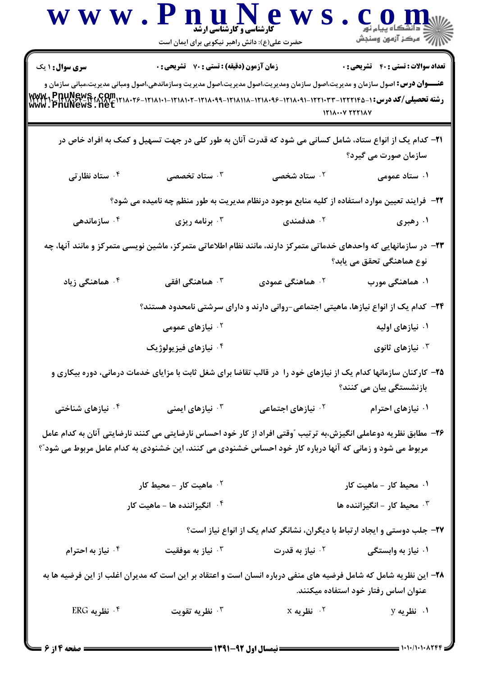|                               | www.PnuNews<br>حضرت علی(ع): دانش راهبر نیکویی برای ایمان است                                                                                                                           | <b>کارشناسی و کارشناسی ارشد</b> | <b>الآلاء مرکز آزمون وسنجش</b>                                                                                                                                              |
|-------------------------------|----------------------------------------------------------------------------------------------------------------------------------------------------------------------------------------|---------------------------------|-----------------------------------------------------------------------------------------------------------------------------------------------------------------------------|
| <b>سری سوال : ۱ یک</b>        | <b>زمان آزمون (دقیقه) : تستی : 70 گشریحی : 0</b><br><b>عنـــوان درس:</b> اصول سازمان و مدیریت،اصول سازمان ومدیریت،اصول مدیریت،اصول مدیریت وسازماندهی،اصول ومبانی مدیریت،مبانی سازمان و |                                 | <b>تعداد سوالات : تستي : 40 - تشريحي : 0</b><br>رشته تحصیلی/کد درس: ۱- ۱۲۲۲۱۰۳۳-۱۲۲۱۰-۱۲۱۸۰۹۶-۱۲۱۸۰۹۶-۱۲۱۸۱۰۸-۱۲۱۸۰۹۶-۱۲۱۸۰۹۱-۱۲۲۲۱۲۴۵-۱۲۳۲۱۰-۱۲۲۲۱۲<br>www . PnuNews . net |
|                               |                                                                                                                                                                                        |                                 | $1111Y$ $YYY1AY$                                                                                                                                                            |
|                               | <b>۲۱</b> – کدام یک از انواع ستاد، شامل کسانی می شود که قدرت آنان به طور کلی در جهت تسهیل و کمک به افراد خاص در                                                                        |                                 | سازمان صورت می گیرد؟                                                                                                                                                        |
| ۰۴ ستاد نظارتی                | ۰ <sup>۳</sup> ستاد تخصصی                                                                                                                                                              | ۰۲ ستاد شخصی                    | ۰۱ ستاد عمومی                                                                                                                                                               |
|                               | <b>۲۲</b> - فرایند تعیین موارد استفاده از کلیه منابع موجود درنظام مدیریت به طور منظم چه نامیده می شود؟                                                                                 |                                 |                                                                                                                                                                             |
| سازماندهی $\cdot$ ۴ $\,$      | برنامه ریزی $\cdot^{\mathtt{w}}$                                                                                                                                                       | هدفمندی $\cdot$ ۲               | ۰۱ رهبری                                                                                                                                                                    |
|                               |                                                                                                                                                                                        |                                 | ۲۳– در سازمانهایی که واحدهای خدماتی متمرکز دارند، مانند نظام اطلاعاتی متمرکز، ماشین نویسی متمرکز و مانند آنها، چه<br>نوع هماهنگی تحقق می یابد؟                              |
| ۰ <sup>۴</sup> هماهنگی زیاد   | هماهنگی افقی $\cdot$                                                                                                                                                                   | ۰ <sup>۲</sup> هماهنگی عمودی    | ۰۱ هماهنگی مورب                                                                                                                                                             |
|                               |                                                                                                                                                                                        |                                 | <b>۳۴</b> − کدام یک از انواع نیازها، ماهیتی اجتماعی−روانی دارند و دارای سرشتی نامحدود هستند؟                                                                                |
|                               | <sup>۲ .</sup> نیازهای عمومی                                                                                                                                                           |                                 | ۰۱ نیازهای اولیه                                                                                                                                                            |
|                               | ۰۴ نیازهای فیزیولوژیک                                                                                                                                                                  |                                 | نيازهای ثانوی $\cdot^{\mathsf{\mathtt{v}}}$                                                                                                                                 |
|                               | ۲۵- کارکنان سازمانها کدام یک از نیازهای خود را در قالب تقاضا برای شغل ثابت با مزایای خدمات درمانی، دوره بیکاری و                                                                       |                                 | بازنشستگی بیان می کنند؟                                                                                                                                                     |
| ۰ <sup>۴</sup> نیازهای شناختی | ۰ <sup>۳</sup> نیازهای ایمنی                                                                                                                                                           | ۰ <sup>۲</sup> نیازهای اجتماعی  | ۰۱ نیازهای احترام                                                                                                                                                           |
|                               | مربوط می شود و زمانی که آنها درباره کار خود احساس خشنودی می کنند، این خشنودی به کدام عامل مربوط می شود"؟                                                                               |                                 | ۲۶– مطابق نظریه دوعاملی انگیزش،به ترتیب ″وقتی افراد از کار خود احساس نارضایتی می کنند نارضایتی آنان به کدام عامل                                                            |
|                               | ۰ <sup>۲</sup> ماهیت کار - محیط کار                                                                                                                                                    |                                 | ۰۱ محیط کار - ماهیت کار                                                                                                                                                     |
|                               | ۰۴ انگیزاننده ها - ماهیت کار                                                                                                                                                           |                                 | ۰ <sup>۳</sup> محیط کار - انگیزاننده ها                                                                                                                                     |
|                               |                                                                                                                                                                                        |                                 | ۲۷- جلب دوستی و ایجاد ارتباط با دیگران، نشانگر کدام یک از انواع نیاز است؟                                                                                                   |
| ۰۴ نیاز به احترام             | نياز به موفقيت $\cdot$                                                                                                                                                                 | ۰ <sup>۲</sup> نیاز به قدرت     | ۰۱ نیاز به وابستگی                                                                                                                                                          |
|                               |                                                                                                                                                                                        |                                 | ۲۸– این نظریه شامل که شامل فرضیه های منفی درباره انسان است و اعتقاد بر این است که مدیران اغلب از این فرضیه ها به<br>عنوان اساس رفتار خود استفاده میکنند.                    |
| ۰۴ نظریه ERG                  | نظريه تقويت $\cdot$                                                                                                                                                                    | $X$ نظریه $\cdot$ $^\circ$      | ۰۱ نظریه y                                                                                                                                                                  |
|                               |                                                                                                                                                                                        |                                 |                                                                                                                                                                             |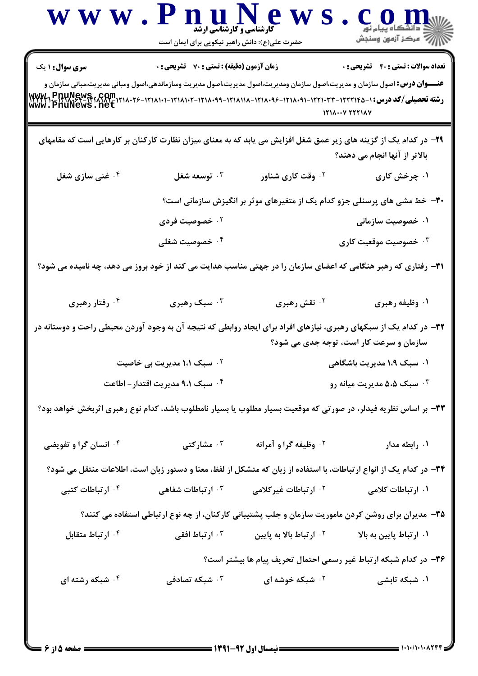|                                                                                                                                                        | www.PnuNews<br><b>کارشناسی و کارشناسی ارشد</b><br>حضرت علی(ع): دانش راهبر نیکویی برای ایمان است |                                                                                                                                    | COD<br>الان دانشگاه پيام نور<br>۱۱)                              |
|--------------------------------------------------------------------------------------------------------------------------------------------------------|-------------------------------------------------------------------------------------------------|------------------------------------------------------------------------------------------------------------------------------------|------------------------------------------------------------------|
| <b>سری سوال : ۱ یک</b><br>رشته تحصیلی/کد درس:۱-۱۲۲۱۰۲۳-۱۲۲۲۱۰۳۳-۱۲۱۸۰۹۱-۱۲۱۸۰۹۶-۱۲۱۸۱۱۸-۱۲۱۸۰۹۶-۱۲۱۸۰۹۱-۱۲۲۲۱۳۵-۱۳۳۷۲۰-۱۳۳۷۲۰-۱۳۳۷۴<br>www.PnuNews.net | <b>زمان آزمون (دقیقه) : تستی : 70 قشریحی : 0</b>                                                | <b>عنـــوان درس:</b> اصول سازمان و مدیریت،اصول سازمان ومدیریت،اصول مدیریت،اصول مدیریت وسازماندهی،اصول ومبانی مدیریت،مبانی سازمان و | <b>تعداد سوالات : تستي : 40 - تشريحي : 0</b><br>$1111Y$ $T1111Y$ |
|                                                                                                                                                        |                                                                                                 | ۲۹– در کدام یک از گزینه های زیر عمق شغل افزایش می یابد که به معنای میزان نظارت کارکنان بر کارهایی است که مقامهای                   | بالاتر از آنها انجام می دهند؟                                    |
| ۰۴ غنی سازی شغل                                                                                                                                        | توسعه شغل $\cdot^{\mathtt{w}}$                                                                  | ۰ <sup>۲</sup> وقت کاری شناور                                                                                                      | ۰۱ چرخش کاری                                                     |
|                                                                                                                                                        |                                                                                                 | ۳۰– خط مشی های پرسنلی جزو کدام یک از متغیرهای موثر بر انگیزش سازمانی است؟                                                          |                                                                  |
|                                                                                                                                                        | ۰ <sup>۲</sup> خصوصیت فردی                                                                      |                                                                                                                                    | ۰۱ خصوصیت سازمانی                                                |
|                                                                                                                                                        | ۰۴ خصوصیت شغلی                                                                                  |                                                                                                                                    | ۰ <sup>۳</sup> خصوصیت موقعیت کاری                                |
| <b>۳۱</b> - رفتاری که رهبر هنگامی که اعضای سازمان را در جهتی مناسب هدایت می کند از خود بروز می دهد، چه نامیده می شود؟                                  |                                                                                                 |                                                                                                                                    |                                                                  |
| ۰۴ رفتار رهبری                                                                                                                                         | ۰۳ سبک رهبری                                                                                    | ۰ <sup>۲</sup> نقش رهبری                                                                                                           | ۰۱ وظیفه رهبری                                                   |
| ۳۲– در کدام یک از سبکهای رهبری، نیازهای افراد برای ایجاد روابطی که نتیجه آن به وجود آوردن محیطی راحت و دوستانه در                                      |                                                                                                 |                                                                                                                                    | سازمان و سرعت کار است، توجه جدی می شود؟                          |
|                                                                                                                                                        | ۰۲ سبک ۱،۱ مدیریت بی خاصیت                                                                      |                                                                                                                                    | ۰۱ سبک ۱،۹ مدیریت باشگاهی                                        |
|                                                                                                                                                        | ۰۴ سبک ۹،۱ مدیریت اقتدار – اطاعت                                                                |                                                                                                                                    | ۰۳ سبک ۵،۵ مدیریت میانه رو                                       |
| ۳۳- بر اساس نظریه فیدلر، در صورتی که موقعیت بسیار مطلوب یا بسیار نامطلوب باشد، کدام نوع رهبری اثربخش خواهد بود؟                                        |                                                                                                 |                                                                                                                                    |                                                                  |
| <b>۴ وانسان گرا و تفویضی</b>                                                                                                                           | شارکتی $\cdot$ "                                                                                | <sup>٢</sup> . وظيفه گراو آمرانه                                                                                                   | ۰۱ رابطه مدار                                                    |
|                                                                                                                                                        |                                                                                                 | ۳۴– در کدام یک از انواع ارتباطات، با استفاده از زبان که متشکل از لفظ، معنا و دستور زبان است، اطلاعات منتقل می شود؟                 |                                                                  |
| ۰۴ ارتباطات کتبی                                                                                                                                       | ۰ <sup>۳</sup> ارتباطات شفاهی                                                                   | <sup>۲</sup> ۰ ارتباطات غیرکلامی                                                                                                   | ۰۱ ارتباطات کلامی                                                |
|                                                                                                                                                        |                                                                                                 | ۳۵- مدیران برای روشن کردن ماموریت سازمان و جلب پشتیبانی کارکنان، از چه نوع ارتباطی استفاده می کنند؟                                |                                                                  |
| ۰ <sup>۴</sup> ارتباط متقابل                                                                                                                           | ۰ <sup>۳</sup> ارتباط افقی                                                                      | ۰ <sup>۲</sup> ارتباط بالا به پایین                                                                                                | ۰۱ ارتباط پایین به بالا                                          |
|                                                                                                                                                        |                                                                                                 | ۳۶- در کدام شبکه ارتباط غیر رسمی احتمال تحریف پیام ها بیشتر است؟                                                                   |                                                                  |
| ۰۴ شبکه رشته ای                                                                                                                                        | شبکه تصادفی $\cdot$                                                                             | ۰ <sup>۲</sup> شبکه خوشه ای                                                                                                        | ۰۱ شبکه تابشی                                                    |
|                                                                                                                                                        |                                                                                                 |                                                                                                                                    |                                                                  |